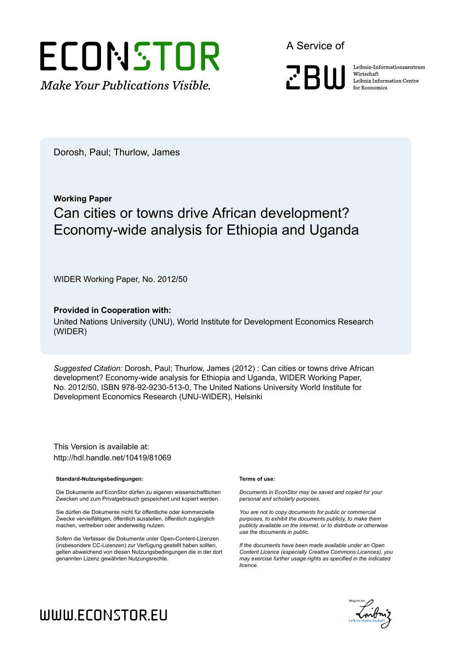

A Service of

**ZBW** 

Leibniz Informationszentrum Wirtschaft Leibniz Information Centre for Economics

Dorosh, Paul; Thurlow, James

# **Working Paper** Can cities or towns drive African development? Economy-wide analysis for Ethiopia and Uganda

WIDER Working Paper, No. 2012/50

# **Provided in Cooperation with:**

United Nations University (UNU), World Institute for Development Economics Research (WIDER)

*Suggested Citation:* Dorosh, Paul; Thurlow, James (2012) : Can cities or towns drive African development? Economy-wide analysis for Ethiopia and Uganda, WIDER Working Paper, No. 2012/50, ISBN 978-92-9230-513-0, The United Nations University World Institute for Development Economics Research (UNU-WIDER), Helsinki

This Version is available at: http://hdl.handle.net/10419/81069

#### **Standard-Nutzungsbedingungen:**

Die Dokumente auf EconStor dürfen zu eigenen wissenschaftlichen Zwecken und zum Privatgebrauch gespeichert und kopiert werden.

Sie dürfen die Dokumente nicht für öffentliche oder kommerzielle Zwecke vervielfältigen, öffentlich ausstellen, öffentlich zugänglich machen, vertreiben oder anderweitig nutzen.

Sofern die Verfasser die Dokumente unter Open-Content-Lizenzen (insbesondere CC-Lizenzen) zur Verfügung gestellt haben sollten, gelten abweichend von diesen Nutzungsbedingungen die in der dort genannten Lizenz gewährten Nutzungsrechte.

#### **Terms of use:**

*Documents in EconStor may be saved and copied for your personal and scholarly purposes.*

*You are not to copy documents for public or commercial purposes, to exhibit the documents publicly, to make them publicly available on the internet, or to distribute or otherwise use the documents in public.*

*If the documents have been made available under an Open Content Licence (especially Creative Commons Licences), you may exercise further usage rights as specified in the indicated licence.*



# WWW.ECONSTOR.EU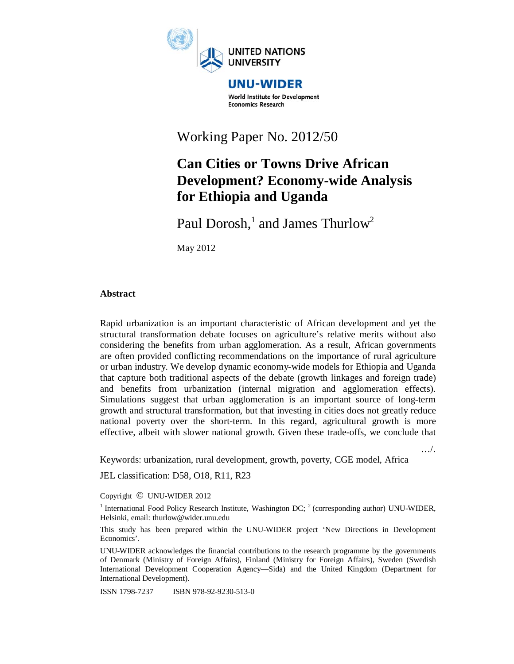

**World Institute for Development Economics Research** 

# Working Paper No. 2012/50

# **Can Cities or Towns Drive African Development? Economy-wide Analysis for Ethiopia and Uganda**

Paul Dorosh,<sup>1</sup> and James Thurlow<sup>2</sup>

May 2012

### **Abstract**

Rapid urbanization is an important characteristic of African development and yet the structural transformation debate focuses on agriculture's relative merits without also considering the benefits from urban agglomeration. As a result, African governments are often provided conflicting recommendations on the importance of rural agriculture or urban industry. We develop dynamic economy-wide models for Ethiopia and Uganda that capture both traditional aspects of the debate (growth linkages and foreign trade) and benefits from urbanization (internal migration and agglomeration effects). Simulations suggest that urban agglomeration is an important source of long-term growth and structural transformation, but that investing in cities does not greatly reduce national poverty over the short-term. In this regard, agricultural growth is more effective, albeit with slower national growth. Given these trade-offs, we conclude that

Keywords: urbanization, rural development, growth, poverty, CGE model, Africa

JEL classification: D58, O18, R11, R23

Copyright © UNU-WIDER 2012

<sup>1</sup> International Food Policy Research Institute, Washington DC; <sup>2</sup> (corresponding author) UNU-WIDER, Helsinki, email: thurlow@wider.unu.edu

…/.

This study has been prepared within the UNU-WIDER project 'New Directions in Development Economics'.

UNU-WIDER acknowledges the financial contributions to the research programme by the governments of Denmark (Ministry of Foreign Affairs), Finland (Ministry for Foreign Affairs), Sweden (Swedish International Development Cooperation Agency—Sida) and the United Kingdom (Department for International Development).

ISSN 1798-7237 ISBN 978-92-9230-513-0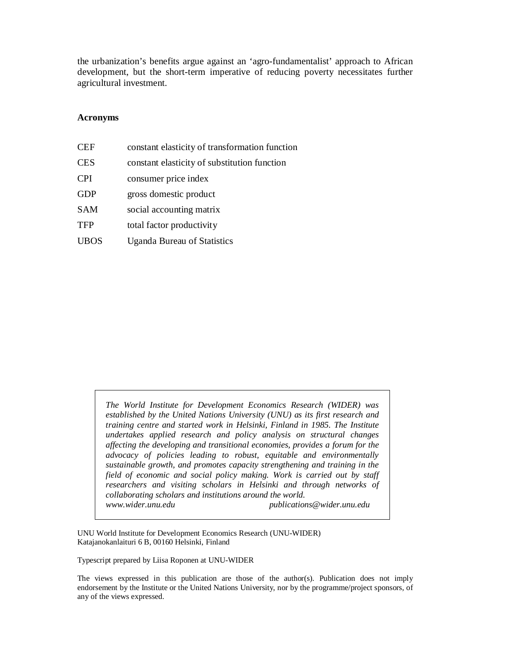the urbanization's benefits argue against an 'agro-fundamentalist' approach to African development, but the short-term imperative of reducing poverty necessitates further agricultural investment.

#### **Acronyms**

| <b>CEF</b>  | constant elasticity of transformation function |
|-------------|------------------------------------------------|
| <b>CES</b>  | constant elasticity of substitution function   |
| <b>CPI</b>  | consumer price index                           |
| <b>GDP</b>  | gross domestic product                         |
| <b>SAM</b>  | social accounting matrix                       |
| <b>TFP</b>  | total factor productivity                      |
| <b>UBOS</b> | <b>Uganda Bureau of Statistics</b>             |
|             |                                                |

*The World Institute for Development Economics Research (WIDER) was established by the United Nations University (UNU) as its first research and training centre and started work in Helsinki, Finland in 1985. The Institute undertakes applied research and policy analysis on structural changes affecting the developing and transitional economies, provides a forum for the advocacy of policies leading to robust, equitable and environmentally sustainable growth, and promotes capacity strengthening and training in the field of economic and social policy making. Work is carried out by staff researchers and visiting scholars in Helsinki and through networks of collaborating scholars and institutions around the world. www.wider.unu.edu publications@wider.unu.edu* 

UNU World Institute for Development Economics Research (UNU-WIDER) Katajanokanlaituri 6 B, 00160 Helsinki, Finland

Typescript prepared by Liisa Roponen at UNU-WIDER

The views expressed in this publication are those of the author(s). Publication does not imply endorsement by the Institute or the United Nations University, nor by the programme/project sponsors, of any of the views expressed.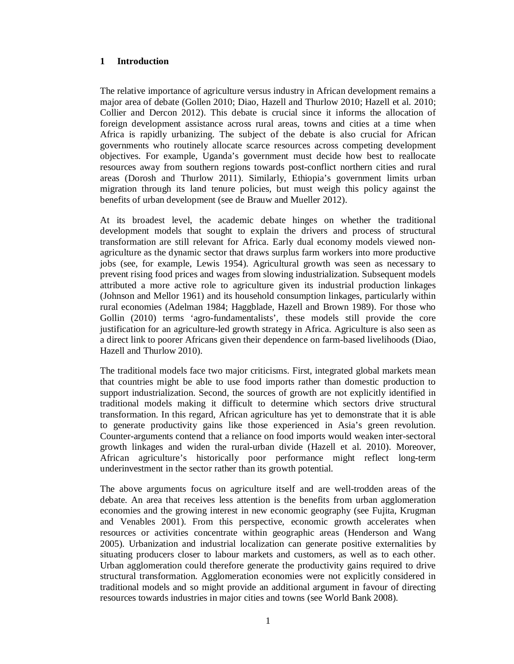# **1 Introduction**

The relative importance of agriculture versus industry in African development remains a major area of debate (Gollen 2010; Diao, Hazell and Thurlow 2010; Hazell et al. 2010; Collier and Dercon 2012). This debate is crucial since it informs the allocation of foreign development assistance across rural areas, towns and cities at a time when Africa is rapidly urbanizing. The subject of the debate is also crucial for African governments who routinely allocate scarce resources across competing development objectives. For example, Uganda's government must decide how best to reallocate resources away from southern regions towards post-conflict northern cities and rural areas (Dorosh and Thurlow 2011). Similarly, Ethiopia's government limits urban migration through its land tenure policies, but must weigh this policy against the benefits of urban development (see de Brauw and Mueller 2012).

At its broadest level, the academic debate hinges on whether the traditional development models that sought to explain the drivers and process of structural transformation are still relevant for Africa. Early dual economy models viewed nonagriculture as the dynamic sector that draws surplus farm workers into more productive jobs (see, for example, Lewis 1954). Agricultural growth was seen as necessary to prevent rising food prices and wages from slowing industrialization. Subsequent models attributed a more active role to agriculture given its industrial production linkages (Johnson and Mellor 1961) and its household consumption linkages, particularly within rural economies (Adelman 1984; Haggblade, Hazell and Brown 1989). For those who Gollin (2010) terms 'agro-fundamentalists', these models still provide the core justification for an agriculture-led growth strategy in Africa. Agriculture is also seen as a direct link to poorer Africans given their dependence on farm-based livelihoods (Diao, Hazell and Thurlow 2010).

The traditional models face two major criticisms. First, integrated global markets mean that countries might be able to use food imports rather than domestic production to support industrialization. Second, the sources of growth are not explicitly identified in traditional models making it difficult to determine which sectors drive structural transformation. In this regard, African agriculture has yet to demonstrate that it is able to generate productivity gains like those experienced in Asia's green revolution. Counter-arguments contend that a reliance on food imports would weaken inter-sectoral growth linkages and widen the rural-urban divide (Hazell et al. 2010). Moreover, African agriculture's historically poor performance might reflect long-term underinvestment in the sector rather than its growth potential.

The above arguments focus on agriculture itself and are well-trodden areas of the debate. An area that receives less attention is the benefits from urban agglomeration economies and the growing interest in new economic geography (see Fujita, Krugman and Venables 2001). From this perspective, economic growth accelerates when resources or activities concentrate within geographic areas (Henderson and Wang 2005). Urbanization and industrial localization can generate positive externalities by situating producers closer to labour markets and customers, as well as to each other. Urban agglomeration could therefore generate the productivity gains required to drive structural transformation. Agglomeration economies were not explicitly considered in traditional models and so might provide an additional argument in favour of directing resources towards industries in major cities and towns (see World Bank 2008).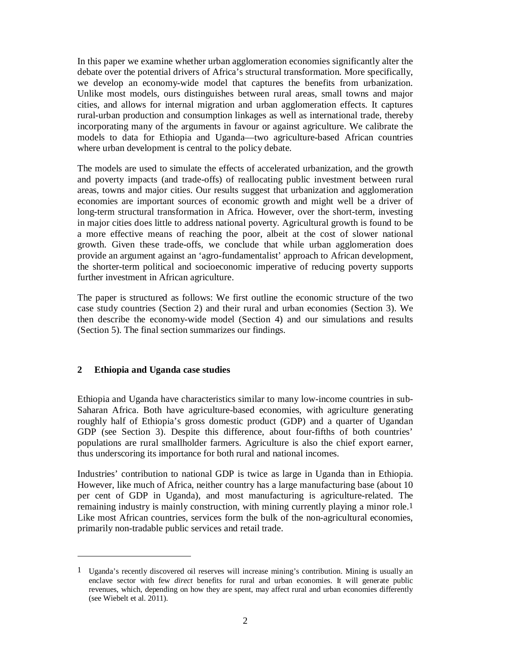In this paper we examine whether urban agglomeration economies significantly alter the debate over the potential drivers of Africa's structural transformation. More specifically, we develop an economy-wide model that captures the benefits from urbanization. Unlike most models, ours distinguishes between rural areas, small towns and major cities, and allows for internal migration and urban agglomeration effects. It captures rural-urban production and consumption linkages as well as international trade, thereby incorporating many of the arguments in favour or against agriculture. We calibrate the models to data for Ethiopia and Uganda––two agriculture-based African countries where urban development is central to the policy debate.

The models are used to simulate the effects of accelerated urbanization, and the growth and poverty impacts (and trade-offs) of reallocating public investment between rural areas, towns and major cities. Our results suggest that urbanization and agglomeration economies are important sources of economic growth and might well be a driver of long-term structural transformation in Africa. However, over the short-term, investing in major cities does little to address national poverty. Agricultural growth is found to be a more effective means of reaching the poor, albeit at the cost of slower national growth. Given these trade-offs, we conclude that while urban agglomeration does provide an argument against an 'agro-fundamentalist' approach to African development, the shorter-term political and socioeconomic imperative of reducing poverty supports further investment in African agriculture.

The paper is structured as follows: We first outline the economic structure of the two case study countries (Section 2) and their rural and urban economies (Section 3). We then describe the economy-wide model (Section 4) and our simulations and results (Section 5). The final section summarizes our findings.

### **2 Ethiopia and Uganda case studies**

-

Ethiopia and Uganda have characteristics similar to many low-income countries in sub-Saharan Africa. Both have agriculture-based economies, with agriculture generating roughly half of Ethiopia's gross domestic product (GDP) and a quarter of Ugandan GDP (see Section 3). Despite this difference, about four-fifths of both countries' populations are rural smallholder farmers. Agriculture is also the chief export earner, thus underscoring its importance for both rural and national incomes.

Industries' contribution to national GDP is twice as large in Uganda than in Ethiopia. However, like much of Africa, neither country has a large manufacturing base (about 10 per cent of GDP in Uganda), and most manufacturing is agriculture-related. The remaining industry is mainly construction, with mining currently playing a minor role.1 Like most African countries, services form the bulk of the non-agricultural economies, primarily non-tradable public services and retail trade.

<sup>1</sup> Uganda's recently discovered oil reserves will increase mining's contribution. Mining is usually an enclave sector with few *direct* benefits for rural and urban economies. It will generate public revenues, which, depending on how they are spent, may affect rural and urban economies differently (see Wiebelt et al. 2011).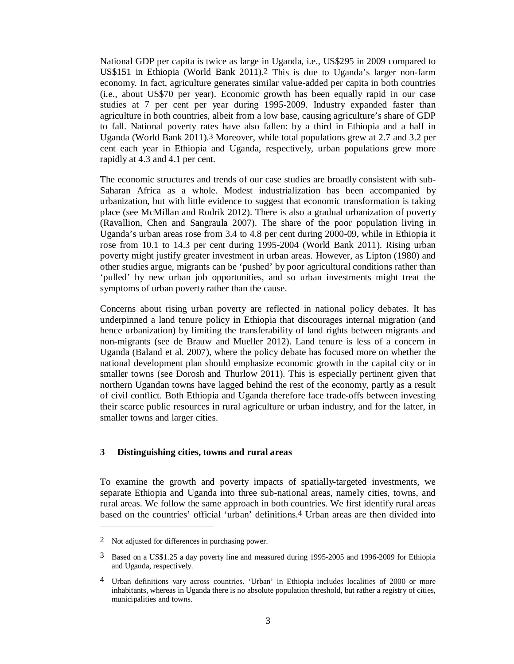National GDP per capita is twice as large in Uganda, i.e., US\$295 in 2009 compared to US\$151 in Ethiopia (World Bank 2011).2 This is due to Uganda's larger non-farm economy. In fact, agriculture generates similar value-added per capita in both countries (i.e., about US\$70 per year). Economic growth has been equally rapid in our case studies at 7 per cent per year during 1995-2009. Industry expanded faster than agriculture in both countries, albeit from a low base, causing agriculture's share of GDP to fall. National poverty rates have also fallen: by a third in Ethiopia and a half in Uganda (World Bank 2011).3 Moreover, while total populations grew at 2.7 and 3.2 per cent each year in Ethiopia and Uganda, respectively, urban populations grew more rapidly at 4.3 and 4.1 per cent.

The economic structures and trends of our case studies are broadly consistent with sub-Saharan Africa as a whole. Modest industrialization has been accompanied by urbanization, but with little evidence to suggest that economic transformation is taking place (see McMillan and Rodrik 2012). There is also a gradual urbanization of poverty (Ravallion, Chen and Sangraula 2007). The share of the poor population living in Uganda's urban areas rose from 3.4 to 4.8 per cent during 2000-09, while in Ethiopia it rose from 10.1 to 14.3 per cent during 1995-2004 (World Bank 2011). Rising urban poverty might justify greater investment in urban areas. However, as Lipton (1980) and other studies argue, migrants can be 'pushed' by poor agricultural conditions rather than 'pulled' by new urban job opportunities, and so urban investments might treat the symptoms of urban poverty rather than the cause.

Concerns about rising urban poverty are reflected in national policy debates. It has underpinned a land tenure policy in Ethiopia that discourages internal migration (and hence urbanization) by limiting the transferability of land rights between migrants and non-migrants (see de Brauw and Mueller 2012). Land tenure is less of a concern in Uganda (Baland et al. 2007), where the policy debate has focused more on whether the national development plan should emphasize economic growth in the capital city or in smaller towns (see Dorosh and Thurlow 2011). This is especially pertinent given that northern Ugandan towns have lagged behind the rest of the economy, partly as a result of civil conflict. Both Ethiopia and Uganda therefore face trade-offs between investing their scarce public resources in rural agriculture or urban industry, and for the latter, in smaller towns and larger cities.

# **3 Distinguishing cities, towns and rural areas**

To examine the growth and poverty impacts of spatially-targeted investments, we separate Ethiopia and Uganda into three sub-national areas, namely cities, towns, and rural areas. We follow the same approach in both countries. We first identify rural areas based on the countries' official 'urban' definitions.4 Urban areas are then divided into

 $\overline{a}$ 

<sup>2</sup> Not adjusted for differences in purchasing power.

<sup>3</sup> Based on a US\$1.25 a day poverty line and measured during 1995-2005 and 1996-2009 for Ethiopia and Uganda, respectively.

<sup>4</sup> Urban definitions vary across countries. 'Urban' in Ethiopia includes localities of 2000 or more inhabitants, whereas in Uganda there is no absolute population threshold, but rather a registry of cities, municipalities and towns.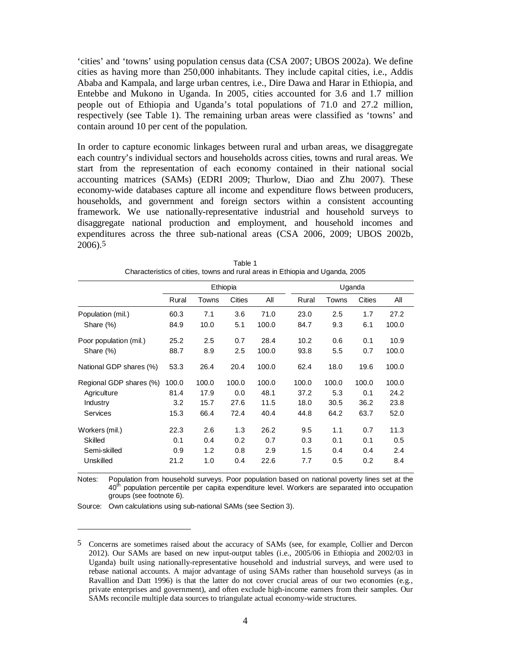'cities' and 'towns' using population census data (CSA 2007; UBOS 2002a). We define cities as having more than 250,000 inhabitants. They include capital cities, i.e., Addis Ababa and Kampala, and large urban centres, i.e., Dire Dawa and Harar in Ethiopia, and Entebbe and Mukono in Uganda. In 2005, cities accounted for 3.6 and 1.7 million people out of Ethiopia and Uganda's total populations of 71.0 and 27.2 million, respectively (see Table 1). The remaining urban areas were classified as 'towns' and contain around 10 per cent of the population.

In order to capture economic linkages between rural and urban areas, we disaggregate each country's individual sectors and households across cities, towns and rural areas. We start from the representation of each economy contained in their national social accounting matrices (SAMs) (EDRI 2009; Thurlow, Diao and Zhu 2007). These economy-wide databases capture all income and expenditure flows between producers, households, and government and foreign sectors within a consistent accounting framework. We use nationally-representative industrial and household surveys to disaggregate national production and employment, and household incomes and expenditures across the three sub-national areas (CSA 2006, 2009; UBOS 2002b, 2006).5

|                         |       | Ethiopia |        |       |       | Uganda |               |       |  |
|-------------------------|-------|----------|--------|-------|-------|--------|---------------|-------|--|
|                         | Rural | Towns    | Cities | All   | Rural | Towns  | <b>Cities</b> | All   |  |
| Population (mil.)       | 60.3  | 7.1      | 3.6    | 71.0  | 23.0  | 2.5    | 1.7           | 27.2  |  |
| Share (%)               | 84.9  | 10.0     | 5.1    | 100.0 | 84.7  | 9.3    | 6.1           | 100.0 |  |
| Poor population (mil.)  | 25.2  | $2.5\,$  | 0.7    | 28.4  | 10.2  | 0.6    | 0.1           | 10.9  |  |
| Share (%)               | 88.7  | 8.9      | 2.5    | 100.0 | 93.8  | 5.5    | 0.7           | 100.0 |  |
| National GDP shares (%) | 53.3  | 26.4     | 20.4   | 100.0 | 62.4  | 18.0   | 19.6          | 100.0 |  |
| Regional GDP shares (%) | 100.0 | 100.0    | 100.0  | 100.0 | 100.0 | 100.0  | 100.0         | 100.0 |  |
| Agriculture             | 81.4  | 17.9     | 0.0    | 48.1  | 37.2  | 5.3    | 0.1           | 24.2  |  |
| Industry                | 3.2   | 15.7     | 27.6   | 11.5  | 18.0  | 30.5   | 36.2          | 23.8  |  |
| <b>Services</b>         | 15.3  | 66.4     | 72.4   | 40.4  | 44.8  | 64.2   | 63.7          | 52.0  |  |
| Workers (mil.)          | 22.3  | 2.6      | 1.3    | 26.2  | 9.5   | 1.1    | 0.7           | 11.3  |  |
| <b>Skilled</b>          | 0.1   | 0.4      | 0.2    | 0.7   | 0.3   | 0.1    | 0.1           | 0.5   |  |
| Semi-skilled            | 0.9   | 1.2      | 0.8    | 2.9   | 1.5   | 0.4    | 0.4           | 2.4   |  |
| Unskilled               | 21.2  | 1.0      | 0.4    | 22.6  | 7.7   | 0.5    | 0.2           | 8.4   |  |

Table 1 Characteristics of cities, towns and rural areas in Ethiopia and Uganda, 2005

Notes: Population from household surveys. Poor population based on national poverty lines set at the 40<sup>th</sup> population percentile per capita expenditure level. Workers are separated into occupation groups (see footnote 6).

Source: Own calculations using sub-national SAMs (see Section 3).

-

<sup>5</sup> Concerns are sometimes raised about the accuracy of SAMs (see, for example, Collier and Dercon 2012). Our SAMs are based on new input-output tables (i.e., 2005/06 in Ethiopia and 2002/03 in Uganda) built using nationally-representative household and industrial surveys, and were used to rebase national accounts. A major advantage of using SAMs rather than household surveys (as in Ravallion and Datt 1996) is that the latter do not cover crucial areas of our two economies (e.g., private enterprises and government), and often exclude high-income earners from their samples. Our SAMs reconcile multiple data sources to triangulate actual economy-wide structures.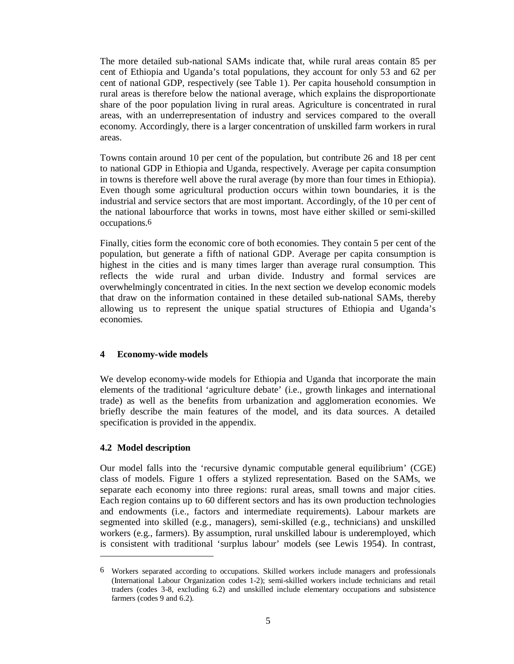The more detailed sub-national SAMs indicate that, while rural areas contain 85 per cent of Ethiopia and Uganda's total populations, they account for only 53 and 62 per cent of national GDP, respectively (see Table 1). Per capita household consumption in rural areas is therefore below the national average, which explains the disproportionate share of the poor population living in rural areas. Agriculture is concentrated in rural areas, with an underrepresentation of industry and services compared to the overall economy. Accordingly, there is a larger concentration of unskilled farm workers in rural areas.

Towns contain around 10 per cent of the population, but contribute 26 and 18 per cent to national GDP in Ethiopia and Uganda, respectively. Average per capita consumption in towns is therefore well above the rural average (by more than four times in Ethiopia). Even though some agricultural production occurs within town boundaries, it is the industrial and service sectors that are most important. Accordingly, of the 10 per cent of the national labourforce that works in towns, most have either skilled or semi-skilled occupations.6

Finally, cities form the economic core of both economies. They contain 5 per cent of the population, but generate a fifth of national GDP. Average per capita consumption is highest in the cities and is many times larger than average rural consumption. This reflects the wide rural and urban divide. Industry and formal services are overwhelmingly concentrated in cities. In the next section we develop economic models that draw on the information contained in these detailed sub-national SAMs, thereby allowing us to represent the unique spatial structures of Ethiopia and Uganda's economies.

#### **4 Economy-wide models**

We develop economy-wide models for Ethiopia and Uganda that incorporate the main elements of the traditional 'agriculture debate' (i.e., growth linkages and international trade) as well as the benefits from urbanization and agglomeration economies. We briefly describe the main features of the model, and its data sources. A detailed specification is provided in the appendix.

# **4.2 Model description**

 $\overline{a}$ 

Our model falls into the 'recursive dynamic computable general equilibrium' (CGE) class of models. Figure 1 offers a stylized representation. Based on the SAMs, we separate each economy into three regions: rural areas, small towns and major cities. Each region contains up to 60 different sectors and has its own production technologies and endowments (i.e., factors and intermediate requirements). Labour markets are segmented into skilled (e.g., managers), semi-skilled (e.g., technicians) and unskilled workers (e.g., farmers). By assumption, rural unskilled labour is underemployed, which is consistent with traditional 'surplus labour' models (see Lewis 1954). In contrast,

<sup>6</sup> Workers separated according to occupations. Skilled workers include managers and professionals (International Labour Organization codes 1-2); semi-skilled workers include technicians and retail traders (codes 3-8, excluding 6.2) and unskilled include elementary occupations and subsistence farmers (codes 9 and 6.2).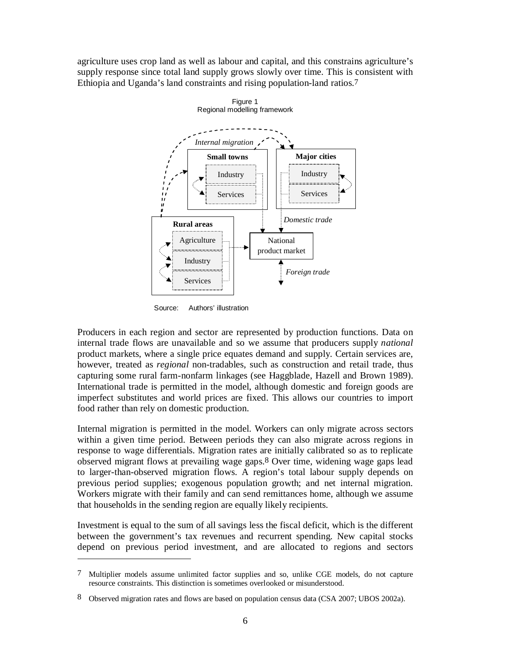agriculture uses crop land as well as labour and capital, and this constrains agriculture's supply response since total land supply grows slowly over time. This is consistent with Ethiopia and Uganda's land constraints and rising population-land ratios.7



Source: Authors' illustration

Producers in each region and sector are represented by production functions. Data on internal trade flows are unavailable and so we assume that producers supply *national* product markets, where a single price equates demand and supply. Certain services are, however, treated as *regional* non-tradables, such as construction and retail trade, thus capturing some rural farm-nonfarm linkages (see Haggblade, Hazell and Brown 1989). International trade is permitted in the model, although domestic and foreign goods are imperfect substitutes and world prices are fixed. This allows our countries to import food rather than rely on domestic production.

Internal migration is permitted in the model. Workers can only migrate across sectors within a given time period. Between periods they can also migrate across regions in response to wage differentials. Migration rates are initially calibrated so as to replicate observed migrant flows at prevailing wage gaps.8 Over time, widening wage gaps lead to larger-than-observed migration flows. A region's total labour supply depends on previous period supplies; exogenous population growth; and net internal migration. Workers migrate with their family and can send remittances home, although we assume that households in the sending region are equally likely recipients.

Investment is equal to the sum of all savings less the fiscal deficit, which is the different between the government's tax revenues and recurrent spending. New capital stocks depend on previous period investment, and are allocated to regions and sectors

-

<sup>7</sup> Multiplier models assume unlimited factor supplies and so, unlike CGE models, do not capture resource constraints. This distinction is sometimes overlooked or misunderstood.

<sup>8</sup> Observed migration rates and flows are based on population census data (CSA 2007; UBOS 2002a).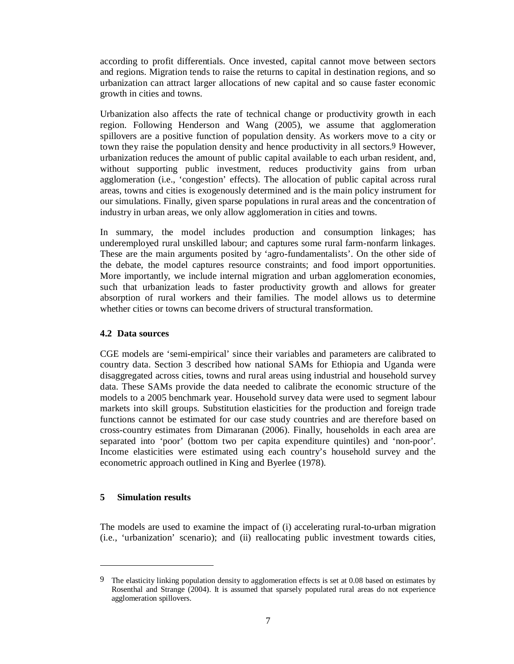according to profit differentials. Once invested, capital cannot move between sectors and regions. Migration tends to raise the returns to capital in destination regions, and so urbanization can attract larger allocations of new capital and so cause faster economic growth in cities and towns.

Urbanization also affects the rate of technical change or productivity growth in each region. Following Henderson and Wang (2005), we assume that agglomeration spillovers are a positive function of population density. As workers move to a city or town they raise the population density and hence productivity in all sectors.9 However, urbanization reduces the amount of public capital available to each urban resident, and, without supporting public investment, reduces productivity gains from urban agglomeration (i.e., 'congestion' effects). The allocation of public capital across rural areas, towns and cities is exogenously determined and is the main policy instrument for our simulations. Finally, given sparse populations in rural areas and the concentration of industry in urban areas, we only allow agglomeration in cities and towns.

In summary, the model includes production and consumption linkages; has underemployed rural unskilled labour; and captures some rural farm-nonfarm linkages. These are the main arguments posited by 'agro-fundamentalists'. On the other side of the debate, the model captures resource constraints; and food import opportunities. More importantly, we include internal migration and urban agglomeration economies, such that urbanization leads to faster productivity growth and allows for greater absorption of rural workers and their families. The model allows us to determine whether cities or towns can become drivers of structural transformation.

### **4.2 Data sources**

CGE models are 'semi-empirical' since their variables and parameters are calibrated to country data. Section 3 described how national SAMs for Ethiopia and Uganda were disaggregated across cities, towns and rural areas using industrial and household survey data. These SAMs provide the data needed to calibrate the economic structure of the models to a 2005 benchmark year. Household survey data were used to segment labour markets into skill groups. Substitution elasticities for the production and foreign trade functions cannot be estimated for our case study countries and are therefore based on cross-country estimates from Dimaranan (2006). Finally, households in each area are separated into 'poor' (bottom two per capita expenditure quintiles) and 'non-poor'. Income elasticities were estimated using each country's household survey and the econometric approach outlined in King and Byerlee (1978).

#### **5 Simulation results**

 $\overline{a}$ 

The models are used to examine the impact of (i) accelerating rural-to-urban migration (i.e., 'urbanization' scenario); and (ii) reallocating public investment towards cities,

<sup>9</sup> The elasticity linking population density to agglomeration effects is set at 0.08 based on estimates by Rosenthal and Strange (2004). It is assumed that sparsely populated rural areas do not experience agglomeration spillovers.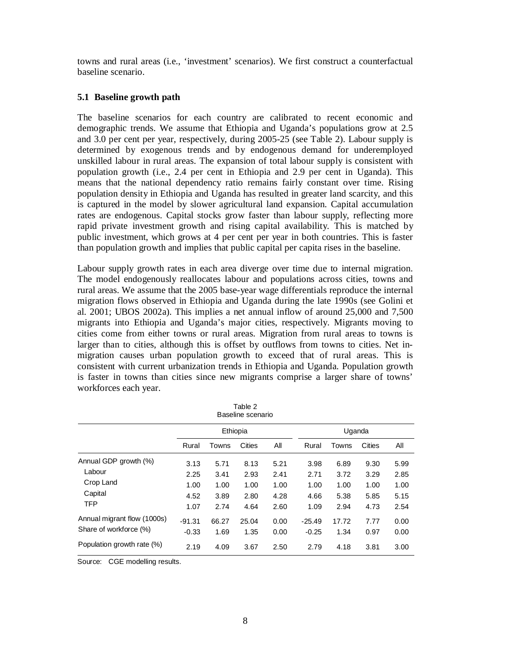towns and rural areas (i.e., 'investment' scenarios). We first construct a counterfactual baseline scenario.

# **5.1 Baseline growth path**

The baseline scenarios for each country are calibrated to recent economic and demographic trends. We assume that Ethiopia and Uganda's populations grow at 2.5 and 3.0 per cent per year, respectively, during 2005-25 (see Table 2). Labour supply is determined by exogenous trends and by endogenous demand for underemployed unskilled labour in rural areas. The expansion of total labour supply is consistent with population growth (i.e., 2.4 per cent in Ethiopia and 2.9 per cent in Uganda). This means that the national dependency ratio remains fairly constant over time. Rising population density in Ethiopia and Uganda has resulted in greater land scarcity, and this is captured in the model by slower agricultural land expansion. Capital accumulation rates are endogenous. Capital stocks grow faster than labour supply, reflecting more rapid private investment growth and rising capital availability. This is matched by public investment, which grows at 4 per cent per year in both countries. This is faster than population growth and implies that public capital per capita rises in the baseline.

Labour supply growth rates in each area diverge over time due to internal migration. The model endogenously reallocates labour and populations across cities, towns and rural areas. We assume that the 2005 base-year wage differentials reproduce the internal migration flows observed in Ethiopia and Uganda during the late 1990s (see Golini et al. 2001; UBOS 2002a). This implies a net annual inflow of around 25,000 and 7,500 migrants into Ethiopia and Uganda's major cities, respectively. Migrants moving to cities come from either towns or rural areas. Migration from rural areas to towns is larger than to cities, although this is offset by outflows from towns to cities. Net inmigration causes urban population growth to exceed that of rural areas. This is consistent with current urbanization trends in Ethiopia and Uganda. Population growth is faster in towns than cities since new migrants comprise a larger share of towns' workforces each year.

Table 2 Baseline scenario

|                             | Ethiopia |       |        |      |          | Uganda |        |      |  |
|-----------------------------|----------|-------|--------|------|----------|--------|--------|------|--|
|                             | Rural    | Towns | Cities | All  | Rural    | Towns  | Cities | All  |  |
| Annual GDP growth (%)       | 3.13     | 5.71  | 8.13   | 5.21 | 3.98     | 6.89   | 9.30   | 5.99 |  |
| Labour                      | 2.25     | 3.41  | 2.93   | 2.41 | 2.71     | 3.72   | 3.29   | 2.85 |  |
| Crop Land                   | 1.00     | 1.00  | 1.00   | 1.00 | 1.00     | 1.00   | 1.00   | 1.00 |  |
| Capital                     | 4.52     | 3.89  | 2.80   | 4.28 | 4.66     | 5.38   | 5.85   | 5.15 |  |
| <b>TFP</b>                  | 1.07     | 2.74  | 4.64   | 2.60 | 1.09     | 2.94   | 4.73   | 2.54 |  |
| Annual migrant flow (1000s) | $-91.31$ | 66.27 | 25.04  | 0.00 | $-25.49$ | 17.72  | 7.77   | 0.00 |  |
| Share of workforce (%)      | $-0.33$  | 1.69  | 1.35   | 0.00 | $-0.25$  | 1.34   | 0.97   | 0.00 |  |
| Population growth rate (%)  | 2.19     | 4.09  | 3.67   | 2.50 | 2.79     | 4.18   | 3.81   | 3.00 |  |

Source: CGE modelling results.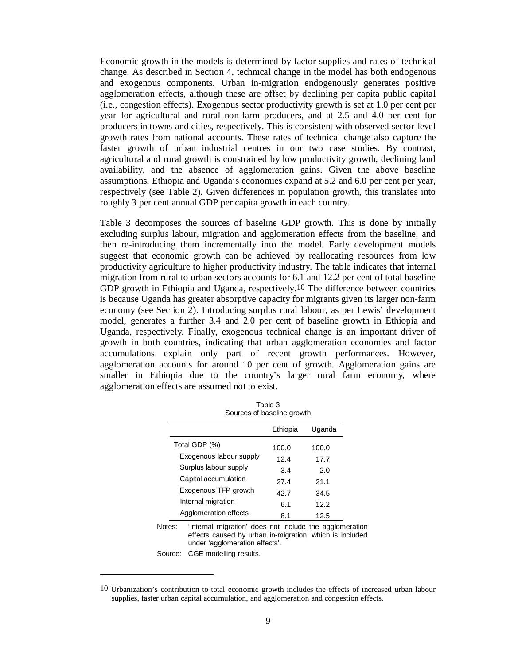Economic growth in the models is determined by factor supplies and rates of technical change. As described in Section 4, technical change in the model has both endogenous and exogenous components. Urban in-migration endogenously generates positive agglomeration effects, although these are offset by declining per capita public capital (i.e., congestion effects). Exogenous sector productivity growth is set at 1.0 per cent per year for agricultural and rural non-farm producers, and at 2.5 and 4.0 per cent for producers in towns and cities, respectively. This is consistent with observed sector-level growth rates from national accounts. These rates of technical change also capture the faster growth of urban industrial centres in our two case studies. By contrast, agricultural and rural growth is constrained by low productivity growth, declining land availability, and the absence of agglomeration gains. Given the above baseline assumptions, Ethiopia and Uganda's economies expand at 5.2 and 6.0 per cent per year, respectively (see Table 2). Given differences in population growth, this translates into roughly 3 per cent annual GDP per capita growth in each country.

Table 3 decomposes the sources of baseline GDP growth. This is done by initially excluding surplus labour, migration and agglomeration effects from the baseline, and then re-introducing them incrementally into the model. Early development models suggest that economic growth can be achieved by reallocating resources from low productivity agriculture to higher productivity industry. The table indicates that internal migration from rural to urban sectors accounts for 6.1 and 12.2 per cent of total baseline GDP growth in Ethiopia and Uganda, respectively.10 The difference between countries is because Uganda has greater absorptive capacity for migrants given its larger non-farm economy (see Section 2). Introducing surplus rural labour, as per Lewis' development model, generates a further 3.4 and 2.0 per cent of baseline growth in Ethiopia and Uganda, respectively. Finally, exogenous technical change is an important driver of growth in both countries, indicating that urban agglomeration economies and factor accumulations explain only part of recent growth performances. However, agglomeration accounts for around 10 per cent of growth. Agglomeration gains are smaller in Ethiopia due to the country's larger rural farm economy, where agglomeration effects are assumed not to exist.

Table 3 Sources of baseline growth

|                         | Ethiopia | Uganda |
|-------------------------|----------|--------|
| Total GDP (%)           | 100.0    | 100.0  |
| Exogenous labour supply | 12.4     | 17.7   |
| Surplus labour supply   | 3.4      | 2.0    |
| Capital accumulation    | 27.4     | 21.1   |
| Exogenous TFP growth    | 42.7     | 34.5   |
| Internal migration      | 6.1      | 12.2   |
| Agglomeration effects   | 8.1      | 12.5   |

Notes: 'Internal migration' does not include the agglomeration effects caused by urban in-migration, which is included under 'agglomeration effects'.

Source: CGE modelling results.

 $\overline{a}$ 

<sup>10</sup> Urbanization's contribution to total economic growth includes the effects of increased urban labour supplies, faster urban capital accumulation, and agglomeration and congestion effects.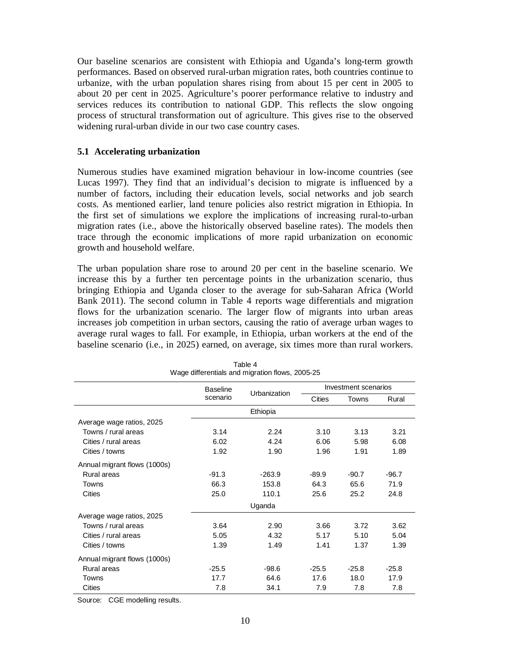Our baseline scenarios are consistent with Ethiopia and Uganda's long-term growth performances. Based on observed rural-urban migration rates, both countries continue to urbanize, with the urban population shares rising from about 15 per cent in 2005 to about 20 per cent in 2025. Agriculture's poorer performance relative to industry and services reduces its contribution to national GDP. This reflects the slow ongoing process of structural transformation out of agriculture. This gives rise to the observed widening rural-urban divide in our two case country cases.

#### **5.1 Accelerating urbanization**

Numerous studies have examined migration behaviour in low-income countries (see Lucas 1997). They find that an individual's decision to migrate is influenced by a number of factors, including their education levels, social networks and job search costs. As mentioned earlier, land tenure policies also restrict migration in Ethiopia. In the first set of simulations we explore the implications of increasing rural-to-urban migration rates (i.e., above the historically observed baseline rates). The models then trace through the economic implications of more rapid urbanization on economic growth and household welfare.

The urban population share rose to around 20 per cent in the baseline scenario. We increase this by a further ten percentage points in the urbanization scenario, thus bringing Ethiopia and Uganda closer to the average for sub-Saharan Africa (World Bank 2011). The second column in Table 4 reports wage differentials and migration flows for the urbanization scenario. The larger flow of migrants into urban areas increases job competition in urban sectors, causing the ratio of average urban wages to average rural wages to fall. For example, in Ethiopia, urban workers at the end of the baseline scenario (i.e., in 2025) earned, on average, six times more than rural workers.

|                              | <b>Baseline</b><br>Urbanization |          | Investment scenarios |         |         |  |
|------------------------------|---------------------------------|----------|----------------------|---------|---------|--|
|                              | scenario                        |          | Cities               | Towns   | Rural   |  |
|                              |                                 | Ethiopia |                      |         |         |  |
| Average wage ratios, 2025    |                                 |          |                      |         |         |  |
| Towns / rural areas          | 3.14                            | 2.24     | 3.10                 | 3.13    | 3.21    |  |
| Cities / rural areas         | 6.02                            | 4.24     | 6.06                 | 5.98    | 6.08    |  |
| Cities / towns               | 1.92                            | 1.90     | 1.96                 | 1.91    | 1.89    |  |
| Annual migrant flows (1000s) |                                 |          |                      |         |         |  |
| Rural areas                  | $-91.3$                         | $-263.9$ | $-89.9$              | $-90.7$ | $-96.7$ |  |
| <b>Towns</b>                 | 66.3                            | 153.8    | 64.3                 | 65.6    | 71.9    |  |
| Cities                       | 25.0                            | 110.1    | 25.6                 | 25.2    | 24.8    |  |
|                              |                                 | Uganda   |                      |         |         |  |
| Average wage ratios, 2025    |                                 |          |                      |         |         |  |
| Towns / rural areas          | 3.64                            | 2.90     | 3.66                 | 3.72    | 3.62    |  |
| Cities / rural areas         | 5.05                            | 4.32     | 5.17                 | 5.10    | 5.04    |  |
| Cities / towns               | 1.39                            | 1.49     | 1.41                 | 1.37    | 1.39    |  |
| Annual migrant flows (1000s) |                                 |          |                      |         |         |  |
| Rural areas                  | $-25.5$                         | $-98.6$  | $-25.5$              | $-25.8$ | $-25.8$ |  |
| Towns                        | 17.7                            | 64.6     | 17.6                 | 18.0    | 17.9    |  |
| Cities                       | 7.8                             | 34.1     | 7.9                  | 7.8     | 7.8     |  |

Table 4 Wage differentials and migration flows, 2005-25

Source: CGE modelling results.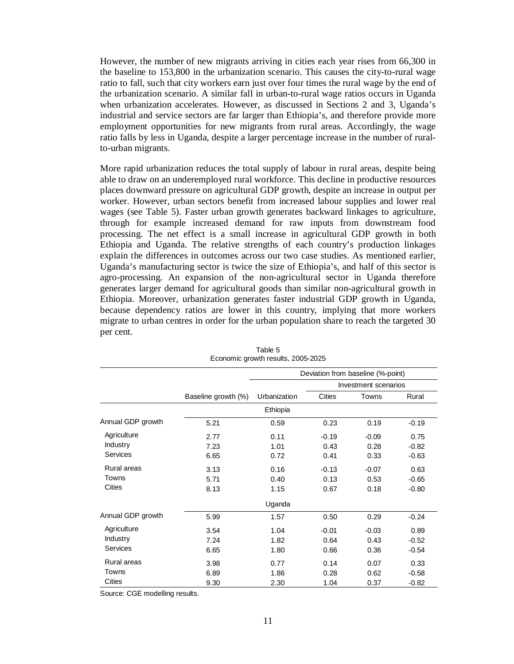However, the number of new migrants arriving in cities each year rises from 66,300 in the baseline to 153,800 in the urbanization scenario. This causes the city-to-rural wage ratio to fall, such that city workers earn just over four times the rural wage by the end of the urbanization scenario. A similar fall in urban-to-rural wage ratios occurs in Uganda when urbanization accelerates. However, as discussed in Sections 2 and 3, Uganda's industrial and service sectors are far larger than Ethiopia's, and therefore provide more employment opportunities for new migrants from rural areas. Accordingly, the wage ratio falls by less in Uganda, despite a larger percentage increase in the number of ruralto-urban migrants.

More rapid urbanization reduces the total supply of labour in rural areas, despite being able to draw on an underemployed rural workforce. This decline in productive resources places downward pressure on agricultural GDP growth, despite an increase in output per worker. However, urban sectors benefit from increased labour supplies and lower real wages (see Table 5). Faster urban growth generates backward linkages to agriculture, through for example increased demand for raw inputs from downstream food processing. The net effect is a small increase in agricultural GDP growth in both Ethiopia and Uganda. The relative strengths of each country's production linkages explain the differences in outcomes across our two case studies. As mentioned earlier, Uganda's manufacturing sector is twice the size of Ethiopia's, and half of this sector is agro-processing. An expansion of the non-agricultural sector in Uganda therefore generates larger demand for agricultural goods than similar non-agricultural growth in Ethiopia. Moreover, urbanization generates faster industrial GDP growth in Uganda, because dependency ratios are lower in this country, implying that more workers migrate to urban centres in order for the urban population share to reach the targeted 30 per cent.

|                   |                     |              |         | Deviation from baseline (%-point) |         |
|-------------------|---------------------|--------------|---------|-----------------------------------|---------|
|                   |                     |              |         | Investment scenarios              |         |
|                   | Baseline growth (%) | Urbanization | Cities  | <b>Towns</b>                      | Rural   |
|                   |                     | Ethiopia     |         |                                   |         |
| Annual GDP growth | 5.21                | 0.59         | 0.23    | 0.19                              | $-0.19$ |
| Agriculture       | 2.77                | 0.11         | $-0.19$ | $-0.09$                           | 0.75    |
| Industry          | 7.23                | 1.01         | 0.43    | 0.28                              | $-0.82$ |
| <b>Services</b>   | 6.65                | 0.72         | 0.41    | 0.33                              | $-0.63$ |
| Rural areas       | 3.13                | 0.16         | $-0.13$ | $-0.07$                           | 0.63    |
| Towns             | 5.71                | 0.40         | 0.13    | 0.53                              | $-0.65$ |
| Cities            | 8.13                | 1.15         | 0.67    | 0.18                              | $-0.80$ |
|                   |                     | Uganda       |         |                                   |         |
| Annual GDP growth | 5.99                | 1.57         | 0.50    | 0.29                              | $-0.24$ |
| Agriculture       | 3.54                | 1.04         | $-0.01$ | $-0.03$                           | 0.89    |
| Industry          | 7.24                | 1.82         | 0.64    | 0.43                              | $-0.52$ |
| <b>Services</b>   | 6.65                | 1.80         | 0.66    | 0.36                              | $-0.54$ |
| Rural areas       | 3.98                | 0.77         | 0.14    | 0.07                              | 0.33    |
| Towns             | 6.89                | 1.86         | 0.28    | 0.62                              | $-0.58$ |
| Cities            | 9.30                | 2.30         | 1.04    | 0.37                              | $-0.82$ |

Table 5 Economic growth results, 2005-2025

Source: CGE modelling results.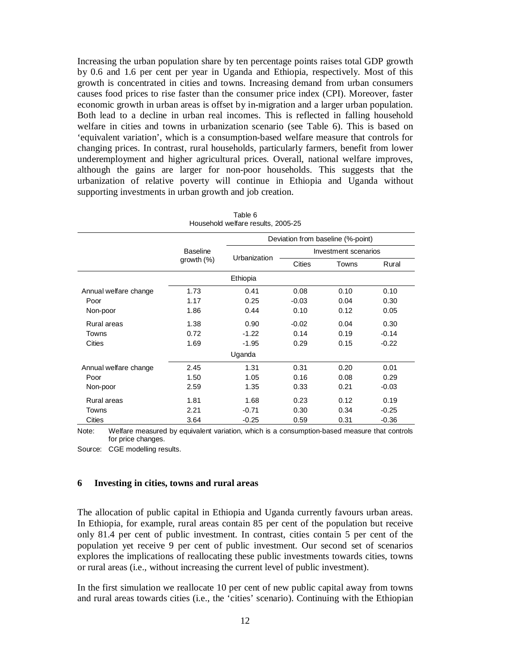Increasing the urban population share by ten percentage points raises total GDP growth by 0.6 and 1.6 per cent per year in Uganda and Ethiopia, respectively. Most of this growth is concentrated in cities and towns. Increasing demand from urban consumers causes food prices to rise faster than the consumer price index (CPI). Moreover, faster economic growth in urban areas is offset by in-migration and a larger urban population. Both lead to a decline in urban real incomes. This is reflected in falling household welfare in cities and towns in urbanization scenario (see Table 6). This is based on 'equivalent variation', which is a consumption-based welfare measure that controls for changing prices. In contrast, rural households, particularly farmers, benefit from lower underemployment and higher agricultural prices. Overall, national welfare improves, although the gains are larger for non-poor households. This suggests that the urbanization of relative poverty will continue in Ethiopia and Uganda without supporting investments in urban growth and job creation.

|                       |                                   | Household welfare results, 2005-25 |                      |       |         |  |
|-----------------------|-----------------------------------|------------------------------------|----------------------|-------|---------|--|
|                       | Deviation from baseline (%-point) |                                    |                      |       |         |  |
|                       | <b>Baseline</b>                   |                                    | Investment scenarios |       |         |  |
|                       | growth $(\%)$                     | Urbanization                       | Cities               | Towns | Rural   |  |
|                       |                                   | Ethiopia                           |                      |       |         |  |
| Annual welfare change | 1.73                              | 0.41                               | 0.08                 | 0.10  | 0.10    |  |
| Poor                  | 1.17                              | 0.25                               | $-0.03$              | 0.04  | 0.30    |  |
| Non-poor              | 1.86                              | 0.44                               | 0.10                 | 0.12  | 0.05    |  |
| Rural areas           | 1.38                              | 0.90                               | $-0.02$              | 0.04  | 0.30    |  |
| Towns                 | 0.72                              | $-1.22$                            | 0.14                 | 0.19  | $-0.14$ |  |
| Cities                | 1.69                              | $-1.95$                            | 0.29                 | 0.15  | $-0.22$ |  |
|                       |                                   | Uganda                             |                      |       |         |  |
| Annual welfare change | 2.45                              | 1.31                               | 0.31                 | 0.20  | 0.01    |  |
| Poor                  | 1.50                              | 1.05                               | 0.16                 | 0.08  | 0.29    |  |
| Non-poor              | 2.59                              | 1.35                               | 0.33                 | 0.21  | $-0.03$ |  |
| Rural areas           | 1.81                              | 1.68                               | 0.23                 | 0.12  | 0.19    |  |
| Towns                 | 2.21                              | $-0.71$                            | 0.30                 | 0.34  | $-0.25$ |  |
| Cities                | 3.64                              | $-0.25$                            | 0.59                 | 0.31  | $-0.36$ |  |

| Table 6                            |  |
|------------------------------------|--|
| Household welfare results, 2005-25 |  |

Note: Welfare measured by equivalent variation, which is a consumption-based measure that controls for price changes.

Source: CGE modelling results.

#### **6 Investing in cities, towns and rural areas**

The allocation of public capital in Ethiopia and Uganda currently favours urban areas. In Ethiopia, for example, rural areas contain 85 per cent of the population but receive only 81.4 per cent of public investment. In contrast, cities contain 5 per cent of the population yet receive 9 per cent of public investment. Our second set of scenarios explores the implications of reallocating these public investments towards cities, towns or rural areas (i.e., without increasing the current level of public investment).

In the first simulation we reallocate 10 per cent of new public capital away from towns and rural areas towards cities (i.e., the 'cities' scenario). Continuing with the Ethiopian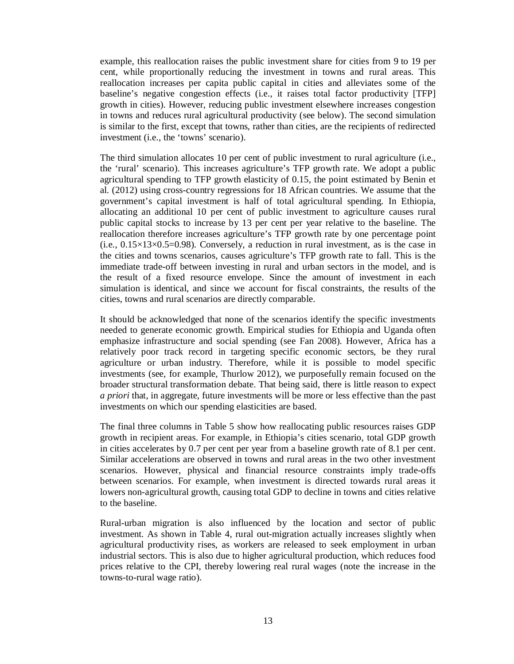example, this reallocation raises the public investment share for cities from 9 to 19 per cent, while proportionally reducing the investment in towns and rural areas. This reallocation increases per capita public capital in cities and alleviates some of the baseline's negative congestion effects (i.e., it raises total factor productivity [TFP] growth in cities). However, reducing public investment elsewhere increases congestion in towns and reduces rural agricultural productivity (see below). The second simulation is similar to the first, except that towns, rather than cities, are the recipients of redirected investment (i.e., the 'towns' scenario).

The third simulation allocates 10 per cent of public investment to rural agriculture (i.e., the 'rural' scenario). This increases agriculture's TFP growth rate. We adopt a public agricultural spending to TFP growth elasticity of 0.15, the point estimated by Benin et al. (2012) using cross-country regressions for 18 African countries. We assume that the government's capital investment is half of total agricultural spending. In Ethiopia, allocating an additional 10 per cent of public investment to agriculture causes rural public capital stocks to increase by 13 per cent per year relative to the baseline. The reallocation therefore increases agriculture's TFP growth rate by one percentage point  $(i.e., 0.15 \times 13 \times 0.5 = 0.98)$ . Conversely, a reduction in rural investment, as is the case in the cities and towns scenarios, causes agriculture's TFP growth rate to fall. This is the immediate trade-off between investing in rural and urban sectors in the model, and is the result of a fixed resource envelope. Since the amount of investment in each simulation is identical, and since we account for fiscal constraints, the results of the cities, towns and rural scenarios are directly comparable.

It should be acknowledged that none of the scenarios identify the specific investments needed to generate economic growth. Empirical studies for Ethiopia and Uganda often emphasize infrastructure and social spending (see Fan 2008). However, Africa has a relatively poor track record in targeting specific economic sectors, be they rural agriculture or urban industry. Therefore, while it is possible to model specific investments (see, for example, Thurlow 2012), we purposefully remain focused on the broader structural transformation debate. That being said, there is little reason to expect *a priori* that, in aggregate, future investments will be more or less effective than the past investments on which our spending elasticities are based.

The final three columns in Table 5 show how reallocating public resources raises GDP growth in recipient areas. For example, in Ethiopia's cities scenario, total GDP growth in cities accelerates by 0.7 per cent per year from a baseline growth rate of 8.1 per cent. Similar accelerations are observed in towns and rural areas in the two other investment scenarios. However, physical and financial resource constraints imply trade-offs between scenarios. For example, when investment is directed towards rural areas it lowers non-agricultural growth, causing total GDP to decline in towns and cities relative to the baseline.

Rural-urban migration is also influenced by the location and sector of public investment. As shown in Table 4, rural out-migration actually increases slightly when agricultural productivity rises, as workers are released to seek employment in urban industrial sectors. This is also due to higher agricultural production, which reduces food prices relative to the CPI, thereby lowering real rural wages (note the increase in the towns-to-rural wage ratio).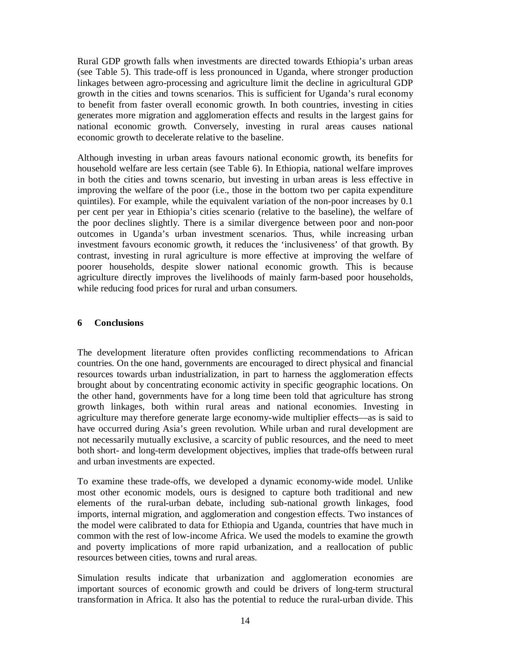Rural GDP growth falls when investments are directed towards Ethiopia's urban areas (see Table 5). This trade-off is less pronounced in Uganda, where stronger production linkages between agro-processing and agriculture limit the decline in agricultural GDP growth in the cities and towns scenarios. This is sufficient for Uganda's rural economy to benefit from faster overall economic growth. In both countries, investing in cities generates more migration and agglomeration effects and results in the largest gains for national economic growth. Conversely, investing in rural areas causes national economic growth to decelerate relative to the baseline.

Although investing in urban areas favours national economic growth, its benefits for household welfare are less certain (see Table 6). In Ethiopia, national welfare improves in both the cities and towns scenario, but investing in urban areas is less effective in improving the welfare of the poor (i.e., those in the bottom two per capita expenditure quintiles). For example, while the equivalent variation of the non-poor increases by 0.1 per cent per year in Ethiopia's cities scenario (relative to the baseline), the welfare of the poor declines slightly. There is a similar divergence between poor and non-poor outcomes in Uganda's urban investment scenarios. Thus, while increasing urban investment favours economic growth, it reduces the 'inclusiveness' of that growth. By contrast, investing in rural agriculture is more effective at improving the welfare of poorer households, despite slower national economic growth. This is because agriculture directly improves the livelihoods of mainly farm-based poor households, while reducing food prices for rural and urban consumers.

### **6 Conclusions**

The development literature often provides conflicting recommendations to African countries. On the one hand, governments are encouraged to direct physical and financial resources towards urban industrialization, in part to harness the agglomeration effects brought about by concentrating economic activity in specific geographic locations. On the other hand, governments have for a long time been told that agriculture has strong growth linkages, both within rural areas and national economies. Investing in agriculture may therefore generate large economy-wide multiplier effects––as is said to have occurred during Asia's green revolution. While urban and rural development are not necessarily mutually exclusive, a scarcity of public resources, and the need to meet both short- and long-term development objectives, implies that trade-offs between rural and urban investments are expected.

To examine these trade-offs, we developed a dynamic economy-wide model. Unlike most other economic models, ours is designed to capture both traditional and new elements of the rural-urban debate, including sub-national growth linkages, food imports, internal migration, and agglomeration and congestion effects. Two instances of the model were calibrated to data for Ethiopia and Uganda, countries that have much in common with the rest of low-income Africa. We used the models to examine the growth and poverty implications of more rapid urbanization, and a reallocation of public resources between cities, towns and rural areas.

Simulation results indicate that urbanization and agglomeration economies are important sources of economic growth and could be drivers of long-term structural transformation in Africa. It also has the potential to reduce the rural-urban divide. This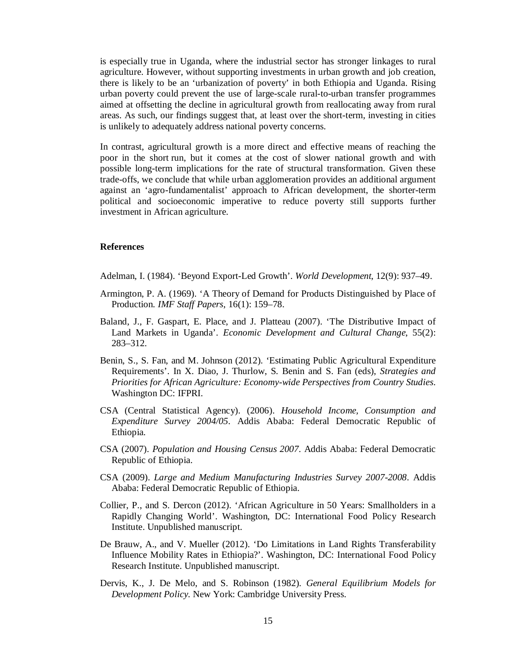is especially true in Uganda, where the industrial sector has stronger linkages to rural agriculture. However, without supporting investments in urban growth and job creation, there is likely to be an 'urbanization of poverty' in both Ethiopia and Uganda. Rising urban poverty could prevent the use of large-scale rural-to-urban transfer programmes aimed at offsetting the decline in agricultural growth from reallocating away from rural areas. As such, our findings suggest that, at least over the short-term, investing in cities is unlikely to adequately address national poverty concerns.

In contrast, agricultural growth is a more direct and effective means of reaching the poor in the short run, but it comes at the cost of slower national growth and with possible long-term implications for the rate of structural transformation. Given these trade-offs, we conclude that while urban agglomeration provides an additional argument against an 'agro-fundamentalist' approach to African development, the shorter-term political and socioeconomic imperative to reduce poverty still supports further investment in African agriculture.

#### **References**

Adelman, I. (1984). 'Beyond Export-Led Growth'. *World Development*, 12(9): 937–49.

- Armington, P. A. (1969). 'A Theory of Demand for Products Distinguished by Place of Production. *IMF Staff Papers*, 16(1): 159–78.
- Baland, J., F. Gaspart, E. Place, and J. Platteau (2007). 'The Distributive Impact of Land Markets in Uganda'. *Economic Development and Cultural Change*, 55(2): 283–312.
- Benin, S., S. Fan, and M. Johnson (2012). 'Estimating Public Agricultural Expenditure Requirements'. In X. Diao, J. Thurlow, S. Benin and S. Fan (eds), *Strategies and Priorities for African Agriculture: Economy-wide Perspectives from Country Studies*. Washington DC: IFPRI.
- CSA (Central Statistical Agency). (2006). *Household Income, Consumption and Expenditure Survey 2004/05*. Addis Ababa: Federal Democratic Republic of Ethiopia.
- CSA (2007). *Population and Housing Census 2007*. Addis Ababa: Federal Democratic Republic of Ethiopia.
- CSA (2009). *Large and Medium Manufacturing Industries Survey 2007-2008*. Addis Ababa: Federal Democratic Republic of Ethiopia.
- Collier, P., and S. Dercon (2012). 'African Agriculture in 50 Years: Smallholders in a Rapidly Changing World'. Washington, DC: International Food Policy Research Institute. Unpublished manuscript.
- De Brauw, A., and V. Mueller (2012). 'Do Limitations in Land Rights Transferability Influence Mobility Rates in Ethiopia?'. Washington, DC: International Food Policy Research Institute. Unpublished manuscript.
- Dervis, K., J. De Melo, and S. Robinson (1982). *General Equilibrium Models for Development Policy*. New York: Cambridge University Press.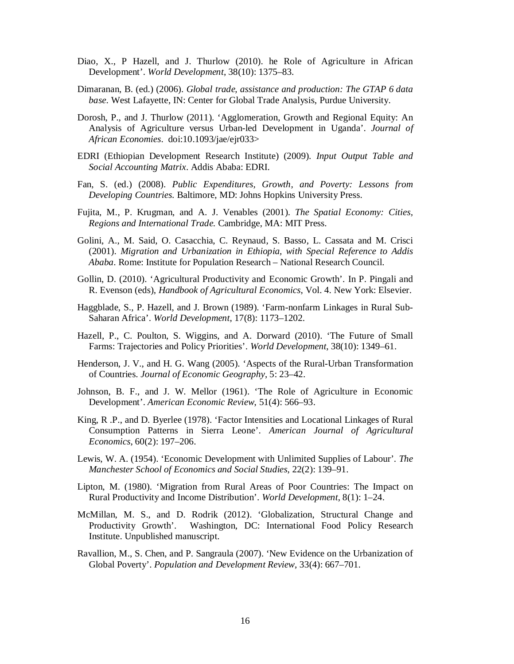- Diao, X., P Hazell, and J. Thurlow (2010). he Role of Agriculture in African Development'. *World Development*, 38(10): 1375–83.
- Dimaranan, B. (ed.) (2006). *Global trade, assistance and production: The GTAP 6 data base*. West Lafayette, IN: Center for Global Trade Analysis, Purdue University.
- Dorosh, P., and J. Thurlow (2011). 'Agglomeration, Growth and Regional Equity: An Analysis of Agriculture versus Urban-led Development in Uganda'. *Journal of African Economies*. doi:10.1093/jae/ejr033>
- EDRI (Ethiopian Development Research Institute) (2009). *Input Output Table and Social Accounting Matrix*. Addis Ababa: EDRI.
- Fan, S. (ed.) (2008). *Public Expenditures, Growth, and Poverty: Lessons from Developing Countries*. Baltimore, MD: Johns Hopkins University Press.
- Fujita, M., P. Krugman, and A. J. Venables (2001). *The Spatial Economy: Cities, Regions and International Trade*. Cambridge, MA: MIT Press.
- Golini, A., M. Said, O. Casacchia, C. Reynaud, S. Basso, L. Cassata and M. Crisci (2001). *Migration and Urbanization in Ethiopia, with Special Reference to Addis Ababa*. Rome: Institute for Population Research – National Research Council.
- Gollin, D. (2010). 'Agricultural Productivity and Economic Growth'. In P. Pingali and R. Evenson (eds), *Handbook of Agricultural Economics*, Vol. 4. New York: Elsevier.
- Haggblade, S., P. Hazell, and J. Brown (1989). 'Farm-nonfarm Linkages in Rural Sub-Saharan Africa'. *World Development*, 17(8): 1173–1202.
- Hazell, P., C. Poulton, S. Wiggins, and A. Dorward (2010). 'The Future of Small Farms: Trajectories and Policy Priorities'. *World Development*, 38(10): 1349–61.
- Henderson, J. V., and H. G. Wang (2005). 'Aspects of the Rural-Urban Transformation of Countries. *Journal of Economic Geography*, 5: 23–42.
- Johnson, B. F., and J. W. Mellor (1961). 'The Role of Agriculture in Economic Development'. *American Economic Review*, 51(4): 566–93.
- King, R .P., and D. Byerlee (1978). 'Factor Intensities and Locational Linkages of Rural Consumption Patterns in Sierra Leone'. *American Journal of Agricultural Economics*, 60(2): 197–206.
- Lewis, W. A. (1954). 'Economic Development with Unlimited Supplies of Labour'. *The Manchester School of Economics and Social Studies*, 22(2): 139–91.
- Lipton, M. (1980). 'Migration from Rural Areas of Poor Countries: The Impact on Rural Productivity and Income Distribution'. *World Development*, 8(1): 1–24.
- McMillan, M. S., and D. Rodrik (2012). 'Globalization, Structural Change and Productivity Growth'. Washington, DC: International Food Policy Research Institute. Unpublished manuscript.
- Ravallion, M., S. Chen, and P. Sangraula (2007). 'New Evidence on the Urbanization of Global Poverty'. *Population and Development Review*, 33(4): 667–701.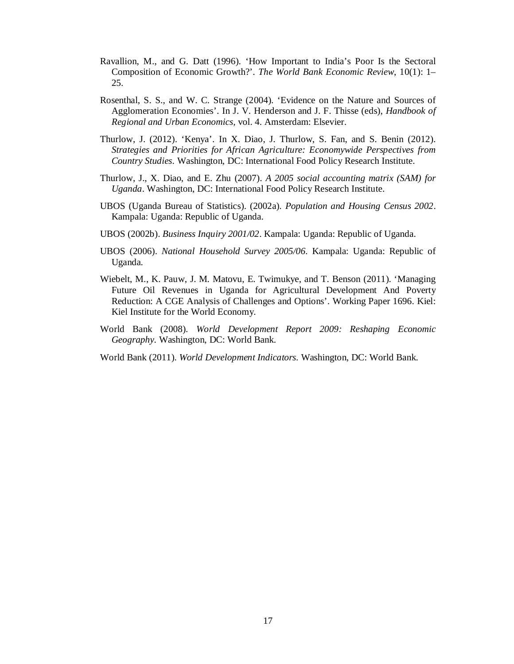- Ravallion, M., and G. Datt (1996). 'How Important to India's Poor Is the Sectoral Composition of Economic Growth?'. *The World Bank Economic Review*, 10(1): 1– 25.
- Rosenthal, S. S., and W. C. Strange (2004). 'Evidence on the Nature and Sources of Agglomeration Economies'. In J. V. Henderson and J. F. Thisse (eds), *Handbook of Regional and Urban Economics,* vol. 4. Amsterdam: Elsevier.
- Thurlow, J. (2012). 'Kenya'. In X. Diao, J. Thurlow, S. Fan, and S. Benin (2012). *Strategies and Priorities for African Agriculture: Economywide Perspectives from Country Studies*. Washington, DC: International Food Policy Research Institute.
- Thurlow, J., X. Diao, and E. Zhu (2007). *A 2005 social accounting matrix (SAM) for Uganda*. Washington, DC: International Food Policy Research Institute.
- UBOS (Uganda Bureau of Statistics). (2002a). *Population and Housing Census 2002*. Kampala: Uganda: Republic of Uganda.
- UBOS (2002b). *Business Inquiry 2001/02*. Kampala: Uganda: Republic of Uganda.
- UBOS (2006). *National Household Survey 2005/06*. Kampala: Uganda: Republic of Uganda.
- Wiebelt, M., K. Pauw, J. M. Matovu, E. Twimukye, and T. Benson (2011). 'Managing Future Oil Revenues in Uganda for Agricultural Development And Poverty Reduction: A CGE Analysis of Challenges and Options'. Working Paper 1696. Kiel: Kiel Institute for the World Economy.
- World Bank (2008). *World Development Report 2009: Reshaping Economic Geography*. Washington, DC: World Bank.
- World Bank (2011). *World Development Indicators*. Washington, DC: World Bank.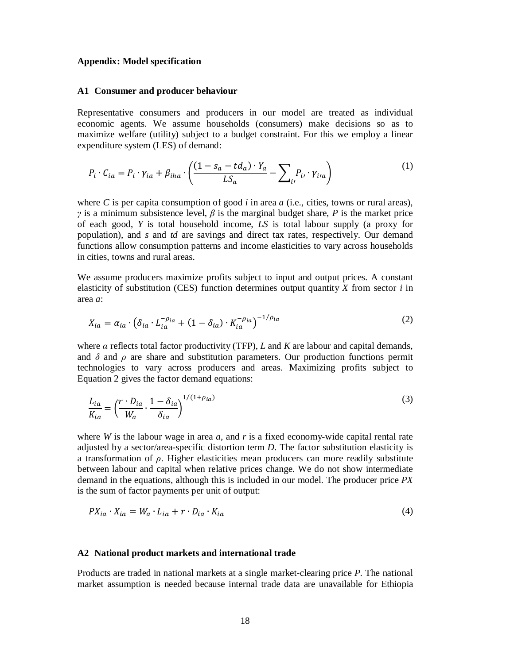#### **Appendix: Model specification**

#### **A1 Consumer and producer behaviour**

Representative consumers and producers in our model are treated as individual economic agents. We assume households (consumers) make decisions so as to maximize welfare (utility) subject to a budget constraint. For this we employ a linear expenditure system (LES) of demand:

$$
P_i \cdot C_{ia} = P_i \cdot \gamma_{ia} + \beta_{iha} \cdot \left( \frac{(1 - s_a - td_a) \cdot Y_a}{LS_a} - \sum_{i'} P_{i'} \cdot \gamma_{i'a} \right)
$$
 (1)

where *C* is per capita consumption of good *i* in area *a* (i.e., cities, towns or rural areas), *γ* is a minimum subsistence level,  $\beta$  is the marginal budget share, *P* is the market price of each good, *Y* is total household income, *LS* is total labour supply (a proxy for population), and *s* and *td* are savings and direct tax rates, respectively. Our demand functions allow consumption patterns and income elasticities to vary across households in cities, towns and rural areas.

We assume producers maximize profits subject to input and output prices. A constant elasticity of substitution (CES) function determines output quantity *X* from sector *i* in area *a*:

$$
X_{ia} = \alpha_{ia} \cdot \left(\delta_{ia} \cdot L_{ia}^{-\rho_{ia}} + (1 - \delta_{ia}) \cdot K_{ia}^{-\rho_{ia}}\right)^{-1/\rho_{ia}}\tag{2}
$$

where *α* reflects total factor productivity (TFP), *L* and *K* are labour and capital demands, and  $\delta$  and  $\rho$  are share and substitution parameters. Our production functions permit technologies to vary across producers and areas. Maximizing profits subject to Equation 2 gives the factor demand equations:

$$
\frac{L_{ia}}{K_{ia}} = \left(\frac{r \cdot D_{ia}}{W_a} \cdot \frac{1 - \delta_{ia}}{\delta_{ia}}\right)^{1/(1 + \rho_{ia})}
$$
\n(3)

where *W* is the labour wage in area *a*, and *r* is a fixed economy-wide capital rental rate adjusted by a sector/area-specific distortion term *D*. The factor substitution elasticity is a transformation of *ρ*. Higher elasticities mean producers can more readily substitute between labour and capital when relative prices change. We do not show intermediate demand in the equations, although this is included in our model. The producer price *PX* is the sum of factor payments per unit of output:

$$
PX_{ia} \cdot X_{ia} = W_a \cdot L_{ia} + r \cdot D_{ia} \cdot K_{ia}
$$
\n<sup>(4)</sup>

#### **A2 National product markets and international trade**

Products are traded in national markets at a single market-clearing price *P*. The national market assumption is needed because internal trade data are unavailable for Ethiopia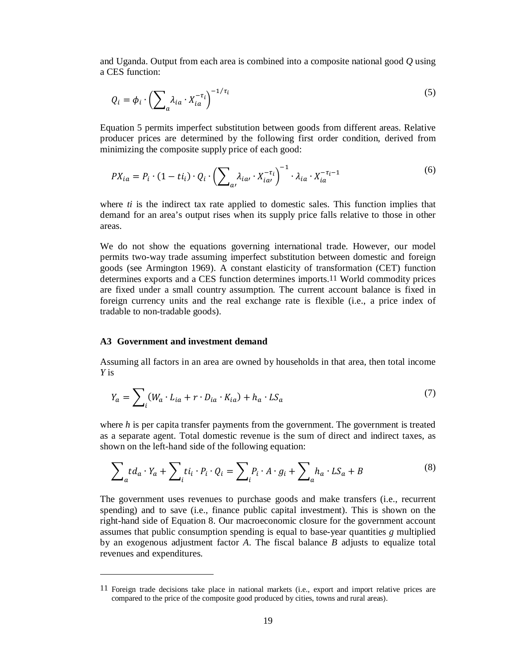and Uganda. Output from each area is combined into a composite national good *Q* using a CES function:

$$
Q_i = \phi_i \cdot \left(\sum_{a} \lambda_{ia} \cdot X_{ia}^{-\tau_i}\right)^{-1/\tau_i} \tag{5}
$$

Equation 5 permits imperfect substitution between goods from different areas. Relative producer prices are determined by the following first order condition, derived from minimizing the composite supply price of each good:

$$
PX_{ia} = P_i \cdot (1 - ti_i) \cdot Q_i \cdot \left(\sum_{a'} \lambda_{ia'} \cdot X_{ia'}^{-\tau_i}\right)^{-1} \cdot \lambda_{ia} \cdot X_{ia}^{-\tau_i - 1}
$$
 (6)

where *ti* is the indirect tax rate applied to domestic sales. This function implies that demand for an area's output rises when its supply price falls relative to those in other areas.

We do not show the equations governing international trade. However, our model permits two-way trade assuming imperfect substitution between domestic and foreign goods (see Armington 1969). A constant elasticity of transformation (CET) function determines exports and a CES function determines imports.11 World commodity prices are fixed under a small country assumption. The current account balance is fixed in foreign currency units and the real exchange rate is flexible (i.e., a price index of tradable to non-tradable goods).

#### **A3 Government and investment demand**

 $\overline{a}$ 

Assuming all factors in an area are owned by households in that area, then total income *Y* is

$$
Y_a = \sum_i (W_a \cdot L_{ia} + r \cdot D_{ia} \cdot K_{ia}) + h_a \cdot LS_a \tag{7}
$$

where *h* is per capita transfer payments from the government. The government is treated as a separate agent. Total domestic revenue is the sum of direct and indirect taxes, as shown on the left-hand side of the following equation:

$$
\sum_{a} td_a \cdot Y_a + \sum_{i} ti_i \cdot P_i \cdot Q_i = \sum_{i} P_i \cdot A \cdot g_i + \sum_{a} h_a \cdot LS_a + B \tag{8}
$$

The government uses revenues to purchase goods and make transfers (i.e., recurrent spending) and to save (i.e., finance public capital investment). This is shown on the right-hand side of Equation 8. Our macroeconomic closure for the government account assumes that public consumption spending is equal to base-year quantities *g* multiplied by an exogenous adjustment factor *A*. The fiscal balance *B* adjusts to equalize total revenues and expenditures.

<sup>11</sup> Foreign trade decisions take place in national markets (i.e., export and import relative prices are compared to the price of the composite good produced by cities, towns and rural areas).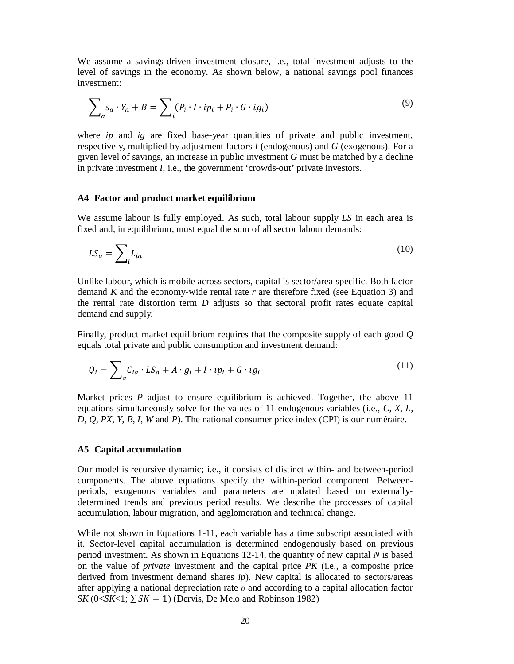We assume a savings-driven investment closure, i.e., total investment adjusts to the level of savings in the economy. As shown below, a national savings pool finances investment:

$$
\sum_{a} s_a \cdot Y_a + B = \sum_{i} (P_i \cdot I \cdot ip_i + P_i \cdot G \cdot ig_i)
$$
\n(9)

where *ip* and *ig* are fixed base-year quantities of private and public investment, respectively, multiplied by adjustment factors *I* (endogenous) and *G* (exogenous). For a given level of savings, an increase in public investment *G* must be matched by a decline in private investment *I*, i.e., the government 'crowds-out' private investors.

#### **A4 Factor and product market equilibrium**

We assume labour is fully employed. As such, total labour supply *LS* in each area is fixed and, in equilibrium, must equal the sum of all sector labour demands:

$$
LS_a = \sum_{i} L_{ia} \tag{10}
$$

Unlike labour, which is mobile across sectors, capital is sector/area-specific. Both factor demand *K* and the economy-wide rental rate *r* are therefore fixed (see Equation 3) and the rental rate distortion term *D* adjusts so that sectoral profit rates equate capital demand and supply.

Finally, product market equilibrium requires that the composite supply of each good *Q* equals total private and public consumption and investment demand:

$$
Q_i = \sum_a C_{ia} \cdot LS_a + A \cdot g_i + I \cdot ip_i + G \cdot ig_i \tag{11}
$$

Market prices *P* adjust to ensure equilibrium is achieved. Together, the above 11 equations simultaneously solve for the values of 11 endogenous variables (i.e., *C*, *X*, *L*, *D*, *Q*, *PX*, *Y*, *B*, *I*, *W* and *P*). The national consumer price index (CPI) is our numéraire.

#### **A5 Capital accumulation**

Our model is recursive dynamic; i.e., it consists of distinct within- and between-period components. The above equations specify the within-period component. Betweenperiods, exogenous variables and parameters are updated based on externallydetermined trends and previous period results. We describe the processes of capital accumulation, labour migration, and agglomeration and technical change.

While not shown in Equations 1-11, each variable has a time subscript associated with it. Sector-level capital accumulation is determined endogenously based on previous period investment. As shown in Equations 12-14, the quantity of new capital *N* is based on the value of *private* investment and the capital price *PK* (i.e., a composite price derived from investment demand shares *ip*). New capital is allocated to sectors/areas after applying a national depreciation rate *υ* and according to a capital allocation factor  $SK(0 < SK < 1; \sum SK = 1)$  (Dervis, De Melo and Robinson 1982)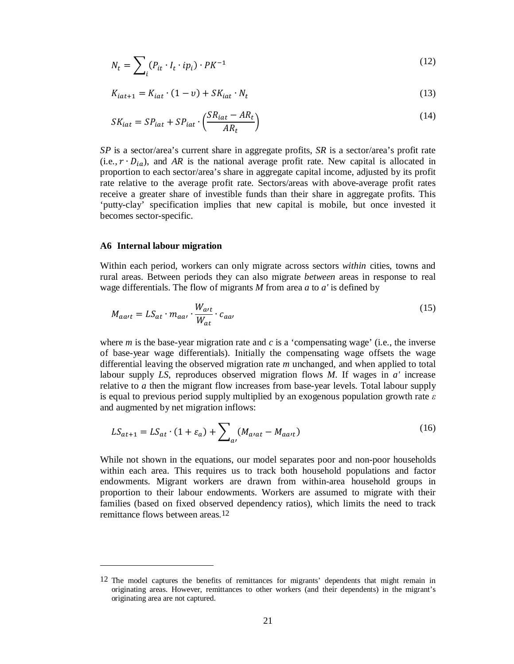$$
N_t = \sum_{i} (P_{it} \cdot I_t \cdot ip_i) \cdot PK^{-1}
$$
 (12)

 $K_{i} = K_{i} \cdot (1 - v) + SK_{i} \cdot N_t$  (13)

$$
SK_{iat} = SP_{iat} + SP_{iat} \cdot \left(\frac{SR_{iat} - AR_t}{AR_t}\right)
$$
\n(14)

*SP* is a sector/area's current share in aggregate profits, *SR* is a sector/area's profit rate (i.e.,  $r \cdot D_{ia}$ ), and *AR* is the national average profit rate. New capital is allocated in proportion to each sector/area's share in aggregate capital income, adjusted by its profit rate relative to the average profit rate. Sectors/areas with above-average profit rates receive a greater share of investible funds than their share in aggregate profits. This 'putty-clay' specification implies that new capital is mobile, but once invested it becomes sector-specific.

#### **A6 Internal labour migration**

 $\overline{a}$ 

Within each period, workers can only migrate across sectors *within* cities, towns and rural areas. Between periods they can also migrate *between* areas in response to real wage differentials. The flow of migrants *M* from area *a* to *a'* is defined by

$$
M_{aart} = LS_{at} \cdot m_{aa} \cdot \frac{W_{at}}{W_{at}} \cdot c_{aa}
$$
\n<sup>(15)</sup>

where *m* is the base-year migration rate and *c* is a 'compensating wage' (i.e., the inverse of base-year wage differentials). Initially the compensating wage offsets the wage differential leaving the observed migration rate *m* unchanged, and when applied to total labour supply *LS*, reproduces observed migration flows *M*. If wages in *a'* increase relative to *a* then the migrant flow increases from base-year levels. Total labour supply is equal to previous period supply multiplied by an exogenous population growth rate *ε* and augmented by net migration inflows:

$$
LS_{at+1} = LS_{at} \cdot (1 + \varepsilon_a) + \sum_{a'} (M_{a'at} - M_{aart})
$$
\n(16)

While not shown in the equations, our model separates poor and non-poor households within each area. This requires us to track both household populations and factor endowments. Migrant workers are drawn from within-area household groups in proportion to their labour endowments. Workers are assumed to migrate with their families (based on fixed observed dependency ratios), which limits the need to track remittance flows between areas.12

<sup>12</sup> The model captures the benefits of remittances for migrants' dependents that might remain in originating areas. However, remittances to other workers (and their dependents) in the migrant's originating area are not captured.